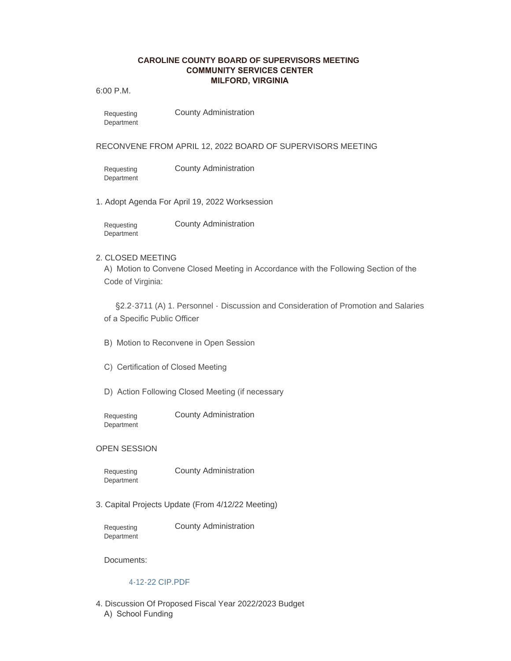## **CAROLINE COUNTY BOARD OF SUPERVISORS MEETING COMMUNITY SERVICES CENTER MILFORD, VIRGINIA**

6:00 P.M.

County Administration Requesting Department

### RECONVENE FROM APRIL 12, 2022 BOARD OF SUPERVISORS MEETING

Requesting Department County Administration

1. Adopt Agenda For April 19, 2022 Worksession

County Administration Requesting **Department** 

# 2. CLOSED MEETING

A) Motion to Convene Closed Meeting in Accordance with the Following Section of the Code of Virginia:

§2.2-3711 (A) 1. Personnel - Discussion and Consideration of Promotion and Salaries of a Specific Public Officer

- B) Motion to Reconvene in Open Session
- C) Certification of Closed Meeting
- D) Action Following Closed Meeting (if necessary

Requesting **Department**  County Administration

### OPEN SESSION

Requesting **Department** 

County Administration

3. Capital Projects Update (From 4/12/22 Meeting)

Requesting **Department**  County Administration

Documents:

### [4-12-22 CIP.PDF](https://co.caroline.va.us/AgendaCenter/ViewFile/Item/5132?fileID=8791)

4. Discussion Of Proposed Fiscal Year 2022/2023 Budget A) School Funding